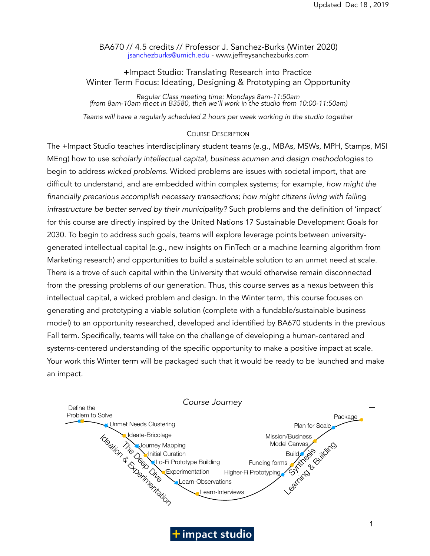BA670 // 4.5 credits // Professor J. Sanchez-Burks (Winter 2020) [jsanchezburks@umich.edu](mailto:jsanchezburks@umich.edu) - www.jeffreysanchezburks.com

### +Impact Studio: Translating Research into Practice Winter Term Focus: Ideating, Designing & Prototyping an Opportunity

*Regular Class meeting time: Mondays 8am-11:50am (from 8am-10am meet in B3580, then we'll work in the studio from 10:00-11:50am)* 

Teams will have a regularly scheduled 2 hours per week working in the studio together

#### COURSE DESCRIPTION

The +Impact Studio teaches interdisciplinary student teams (e.g., MBAs, MSWs, MPH, Stamps, MSI MEng) how to use *scholarly intellectual capital*, *business acumen and design methodologies* to begin to address *wicked problems.* Wicked problems are issues with societal import, that are difficult to understand, and are embedded within complex systems; for example, *how might the financially precarious accomplish necessary transactions; how might citizens living with failing infrastructure be better served by their municipality?* Such problems and the definition of 'impact' for this course are directly inspired by the United Nations 17 Sustainable Development Goals for 2030. To begin to address such goals, teams will explore leverage points between universitygenerated intellectual capital (e.g., new insights on FinTech or a machine learning algorithm from Marketing research) and opportunities to build a sustainable solution to an unmet need at scale. There is a trove of such capital within the University that would otherwise remain disconnected from the pressing problems of our generation. Thus, this course serves as a nexus between this intellectual capital, a wicked problem and design. In the Winter term, this course focuses on generating and prototyping a viable solution (complete with a fundable/sustainable business model) to an opportunity researched, developed and identified by BA670 students in the previous Fall term. Specifically, teams will take on the challenge of developing a human-centered and Fan term: specifically, teams will take on the enalicity or developing a namal centered and<br>systems-centered understanding of the specific opportunity to make a positive impact at scale. Your work this Winter term will be packaged such that it would be ready to be launched and make an impact.



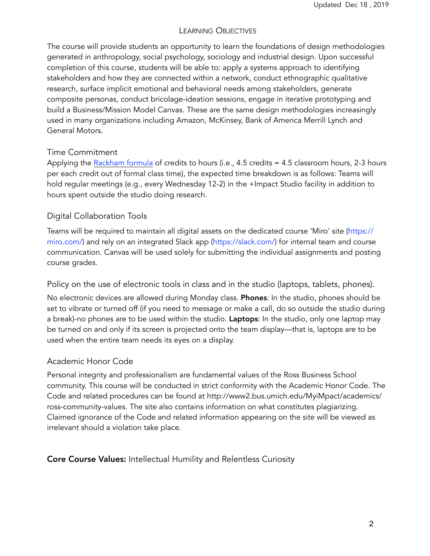## LEARNING OBJECTIVES

The course will provide students an opportunity to learn the foundations of design methodologies generated in anthropology, social psychology, sociology and industrial design. Upon successful completion of this course, students will be able to: apply a systems approach to identifying stakeholders and how they are connected within a network, conduct ethnographic qualitative research, surface implicit emotional and behavioral needs among stakeholders, generate composite personas, conduct bricolage-ideation sessions, engage in iterative prototyping and build a Business/Mission Model Canvas. These are the same design methodologies increasingly used in many organizations including Amazon, McKinsey, Bank of America Merrill Lynch and General Motors.

## Time Commitment

Applying the [Rackham formula](https://rackham.umich.edu/faculty-and-staff/resources-for-directors/guidelines-for-graduate-course-approval/assignment-of-credit-hours/) of credits to hours (i.e., 4.5 credits = 4.5 classroom hours, 2-3 hours per each credit out of formal class time), the expected time breakdown is as follows: Teams will hold regular meetings (e.g., every Wednesday 12-2) in the +Impact Studio facility in addition to hours spent outside the studio doing research.

# Digital Collaboration Tools

Teams will be required to maintain all digital assets on the dedicated course 'Miro' site ([https://](https://realtimeboard.com/) [miro.com/](https://realtimeboard.com/)) and rely on an integrated Slack app [\(https://slack.com/](https://slack.com/)) for internal team and course communication. Canvas will be used solely for submitting the individual assignments and posting course grades.

Policy on the use of electronic tools in class and in the studio (laptops, tablets, phones).

No electronic devices are allowed during Monday class. Phones: In the studio, phones should be set to vibrate or turned off (if you need to message or make a call, do so outside the studio during a break)-no phones are to be used within the studio. **Laptops**: In the studio, only one laptop may be turned on and only if its screen is projected onto the team display—that is, laptops are to be used when the entire team needs its eyes on a display.

## Academic Honor Code

Personal integrity and professionalism are fundamental values of the Ross Business School community. This course will be conducted in strict conformity with the Academic Honor Code. The Code and related procedures can be found at http://www2.bus.umich.edu/MyiMpact/academics/ ross-community-values. The site also contains information on what constitutes plagiarizing. Claimed ignorance of the Code and related information appearing on the site will be viewed as irrelevant should a violation take place.

## Core Course Values: Intellectual Humility and Relentless Curiosity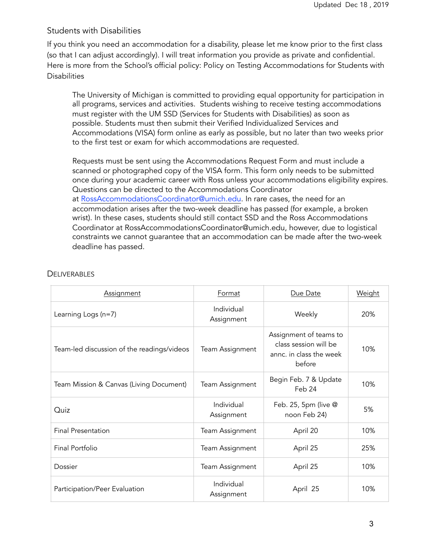### Students with Disabilities

If you think you need an accommodation for a disability, please let me know prior to the first class (so that I can adjust accordingly). I will treat information you provide as private and confidential. Here is more from the School's official policy: Policy on Testing Accommodations for Students with **Disabilities** 

The University of Michigan is committed to providing equal opportunity for participation in all programs, services and activities. Students wishing to receive testing accommodations must register with the UM SSD (Services for Students with Disabilities) as soon as possible. Students must then submit their Verified Individualized Services and Accommodations (VISA) form online as early as possible, but no later than two weeks prior to the first test or exam for which accommodations are requested.

Requests must be sent using the Accommodations Request Form and must include a scanned or photographed copy of the VISA form. This form only needs to be submitted once during your academic career with Ross unless your accommodations eligibility expires. Questions can be directed to the Accommodations Coordinator at [RossAccommodationsCoordinator@umich.edu](mailto:RossAccommodationsCoordinator@umich.edu). In rare cases, the need for an accommodation arises after the two-week deadline has passed (for example, a broken wrist). In these cases, students should still contact SSD and the Ross Accommodations Coordinator at RossAccommodationsCoordinator@umich.edu, however, due to logistical constraints we cannot guarantee that an accommodation can be made after the two-week deadline has passed.

| <b>Assignment</b>                          | Format                   | Due Date                                                                             | Weight |
|--------------------------------------------|--------------------------|--------------------------------------------------------------------------------------|--------|
| Learning Logs $(n=7)$                      | Individual<br>Assignment | Weekly                                                                               | 20%    |
| Team-led discussion of the readings/videos | Team Assignment          | Assignment of teams to<br>class session will be<br>annc. in class the week<br>before | 10%    |
| Team Mission & Canvas (Living Document)    | Team Assignment          | Begin Feb. 7 & Update<br>Feb 24                                                      | 10%    |
| Quiz                                       | Individual<br>Assignment | Feb. 25, 5pm (live @<br>noon Feb 24)                                                 | 5%     |
| <b>Final Presentation</b>                  | Team Assignment          | April 20                                                                             | 10%    |
| Final Portfolio                            | Team Assignment          | April 25                                                                             | 25%    |
| Dossier                                    | Team Assignment          | April 25                                                                             | 10%    |
| Participation/Peer Evaluation              | Individual<br>Assignment | April 25                                                                             | 10%    |

### **DELIVERABLES**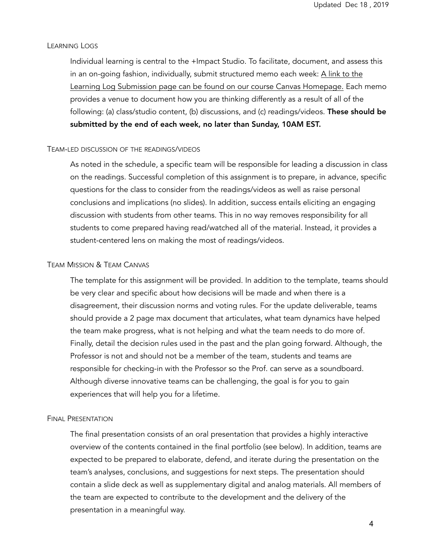#### LEARNING LOGS

Individual learning is central to the +Impact Studio. To facilitate, document, and assess this in an on-going fashion, individually, submit structured memo each week: A link to the Learning Log Submission page can be found on our course Canvas Homepage. Each memo provides a venue to document how you are thinking differently as a result of all of the following: (a) class/studio content, (b) discussions, and (c) readings/videos. These should be submitted by the end of each week, no later than Sunday, 10AM EST.

#### TEAM-LED DISCUSSION OF THE READINGS/VIDEOS

As noted in the schedule, a specific team will be responsible for leading a discussion in class on the readings. Successful completion of this assignment is to prepare, in advance, specific questions for the class to consider from the readings/videos as well as raise personal conclusions and implications (no slides). In addition, success entails eliciting an engaging discussion with students from other teams. This in no way removes responsibility for all students to come prepared having read/watched all of the material. Instead, it provides a student-centered lens on making the most of readings/videos.

#### TEAM MISSION & TEAM CANVAS

The template for this assignment will be provided. In addition to the template, teams should be very clear and specific about how decisions will be made and when there is a disagreement, their discussion norms and voting rules. For the update deliverable, teams should provide a 2 page max document that articulates, what team dynamics have helped the team make progress, what is not helping and what the team needs to do more of. Finally, detail the decision rules used in the past and the plan going forward. Although, the Professor is not and should not be a member of the team, students and teams are responsible for checking-in with the Professor so the Prof. can serve as a soundboard. Although diverse innovative teams can be challenging, the goal is for you to gain experiences that will help you for a lifetime.

#### FINAL PRESENTATION

The final presentation consists of an oral presentation that provides a highly interactive overview of the contents contained in the final portfolio (see below). In addition, teams are expected to be prepared to elaborate, defend, and iterate during the presentation on the team's analyses, conclusions, and suggestions for next steps. The presentation should contain a slide deck as well as supplementary digital and analog materials. All members of the team are expected to contribute to the development and the delivery of the presentation in a meaningful way.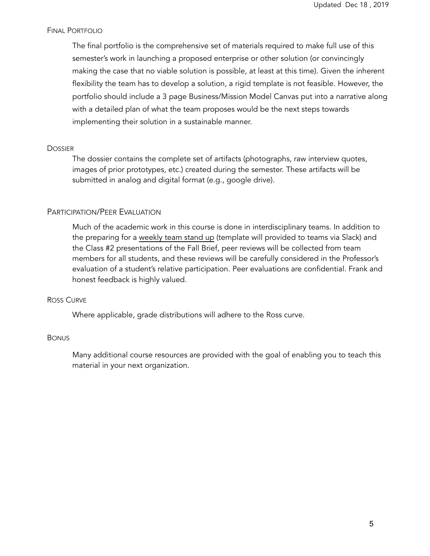### FINAL PORTFOLIO

The final portfolio is the comprehensive set of materials required to make full use of this semester's work in launching a proposed enterprise or other solution (or convincingly making the case that no viable solution is possible, at least at this time). Given the inherent flexibility the team has to develop a solution, a rigid template is not feasible. However, the portfolio should include a 3 page Business/Mission Model Canvas put into a narrative along with a detailed plan of what the team proposes would be the next steps towards implementing their solution in a sustainable manner.

### **DOSSIER**

The dossier contains the complete set of artifacts (photographs, raw interview quotes, images of prior prototypes, etc.) created during the semester. These artifacts will be submitted in analog and digital format (e.g., google drive).

### PARTICIPATION/PEER EVALUATION

Much of the academic work in this course is done in interdisciplinary teams. In addition to the preparing for a weekly team stand up (template will provided to teams via Slack) and the Class #2 presentations of the Fall Brief, peer reviews will be collected from team members for all students, and these reviews will be carefully considered in the Professor's evaluation of a student's relative participation. Peer evaluations are confidential. Frank and honest feedback is highly valued.

#### ROSS CURVE

Where applicable, grade distributions will adhere to the Ross curve.

#### **BONUS**

Many additional course resources are provided with the goal of enabling you to teach this material in your next organization.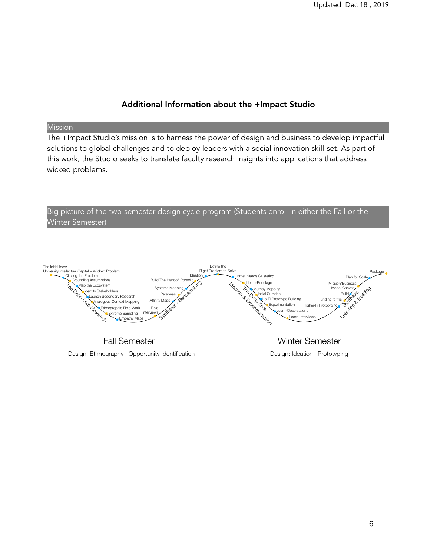## Additional Information about the +Impact Studio

### Mission

The +Impact Studio's mission is to harness the power of design and business to develop impactful solutions to global challenges and to deploy leaders with a social innovation skill-set. As part of this work, the Studio seeks to translate faculty research insights into applications that address wicked problems.



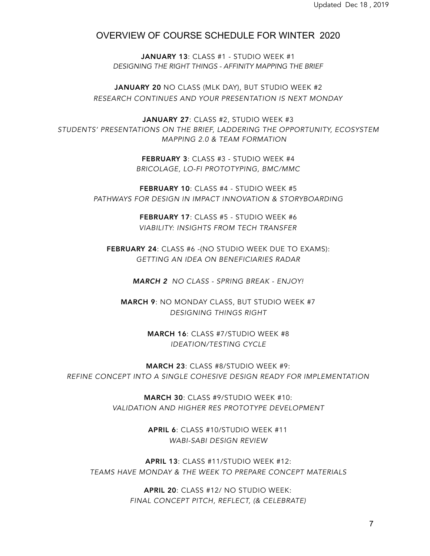## OVERVIEW OF COURSE SCHEDULE FOR WINTER 2020

JANUARY 13: CLASS #1 - STUDIO WEEK #1 *DESIGNING THE RIGHT THINGS - AFFINITY MAPPING THE BRIEF* 

JANUARY 20 NO CLASS (MLK DAY), BUT STUDIO WEEK #2 *RESEARCH CONTINUES AND YOUR PRESENTATION IS NEXT MONDAY* 

JANUARY 27: CLASS #2, STUDIO WEEK #3 *STUDENTS' PRESENTATIONS ON THE BRIEF, LADDERING THE OPPORTUNITY, ECOSYSTEM MAPPING 2.0 & TEAM FORMATION* 

> FEBRUARY 3: CLASS #3 - STUDIO WEEK #4 *BRICOLAGE, LO-FI PROTOTYPING, BMC/MMC*

FEBRUARY 10: CLASS #4 - STUDIO WEEK #5 *PATHWAYS FOR DESIGN IN IMPACT INNOVATION & STORYBOARDING* 

> FEBRUARY 17: CLASS #5 - STUDIO WEEK #6 *VIABILITY: INSIGHTS FROM TECH TRANSFER*

FEBRUARY 24: CLASS #6 - (NO STUDIO WEEK DUE TO EXAMS): *GETTING AN IDEA ON BENEFICIARIES RADAR* 

*MARCH 2 NO CLASS - SPRING BREAK - ENJOY!*

MARCH 9: NO MONDAY CLASS, BUT STUDIO WEEK #7 *DESIGNING THINGS RIGHT* 

> MARCH 16: CLASS #7/STUDIO WEEK #8 *IDEATION/TESTING CYCLE*

MARCH 23: CLASS #8/STUDIO WEEK #9: *REFINE CONCEPT INTO A SINGLE COHESIVE DESIGN READY FOR IMPLEMENTATION* 

> MARCH 30: CLASS #9/STUDIO WEEK #10: *VALIDATION AND HIGHER RES PROTOTYPE DEVELOPMENT*

> > APRIL 6: CLASS #10/STUDIO WEEK #11 *WABI-SABI DESIGN REVIEW*

APRIL 13: CLASS #11/STUDIO WEEK #12: *TEAMS HAVE MONDAY & THE WEEK TO PREPARE CONCEPT MATERIALS* 

> APRIL 20: CLASS #12/ NO STUDIO WEEK: *FINAL CONCEPT PITCH, REFLECT, (& CELEBRATE)*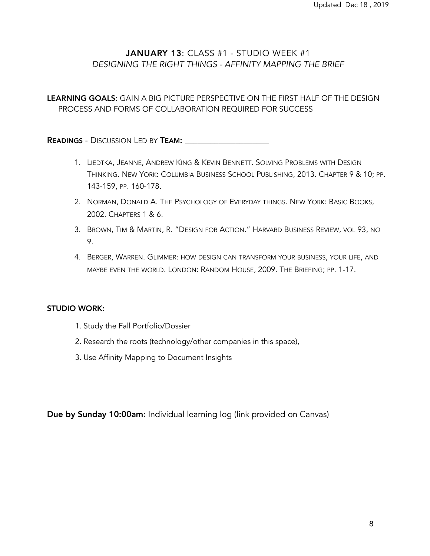## JANUARY 13: CLASS #1 - STUDIO WEEK #1 *DESIGNING THE RIGHT THINGS - AFFINITY MAPPING THE BRIEF*

## LEARNING GOALS: GAIN A BIG PICTURE PERSPECTIVE ON THE FIRST HALF OF THE DESIGN PROCESS AND FORMS OF COLLABORATION REQUIRED FOR SUCCESS

READINGS - DISCUSSION LED BY TEAM: \_\_\_\_\_\_\_\_\_\_\_\_\_\_\_\_\_\_\_\_

- 1. LIEDTKA, JEANNE, ANDREW KING & KEVIN BENNETT. SOLVING PROBLEMS WITH DESIGN THINKING. NEW YORK: COLUMBIA BUSINESS SCHOOL PUBLISHING, 2013. CHAPTER 9 & 10; PP. 143-159, PP. 160-178.
- 2. NORMAN, DONALD A. THE PSYCHOLOGY OF EVERYDAY THINGS. NEW YORK: BASIC BOOKS, 2002. CHAPTERS 1 & 6.
- 3. BROWN, TIM & MARTIN, R. "DESIGN FOR ACTION." HARVARD BUSINESS REVIEW, VOL 93, NO 9.
- 4. BERGER, WARREN. GLIMMER: HOW DESIGN CAN TRANSFORM YOUR BUSINESS, YOUR LIFE, AND MAYBE EVEN THE WORLD. LONDON: RANDOM HOUSE, 2009. THE BRIEFING; PP. 1-17.

### STUDIO WORK:

- 1. Study the Fall Portfolio/Dossier
- 2. Research the roots (technology/other companies in this space),
- 3. Use Affinity Mapping to Document Insights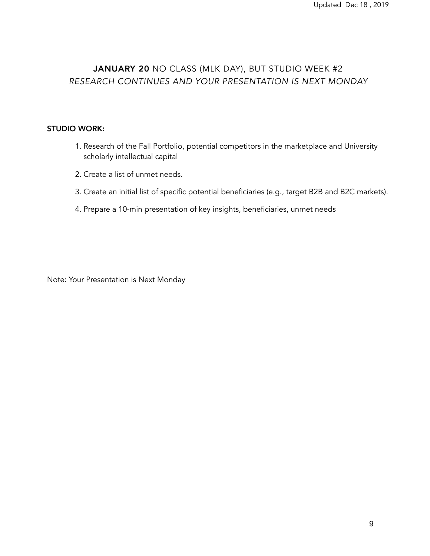# JANUARY 20 NO CLASS (MLK DAY), BUT STUDIO WEEK #2 *RESEARCH CONTINUES AND YOUR PRESENTATION IS NEXT MONDAY*

### STUDIO WORK:

- 1. Research of the Fall Portfolio, potential competitors in the marketplace and University scholarly intellectual capital
- 2. Create a list of unmet needs.
- 3. Create an initial list of specific potential beneficiaries (e.g., target B2B and B2C markets).
- 4. Prepare a 10-min presentation of key insights, beneficiaries, unmet needs

Note: Your Presentation is Next Monday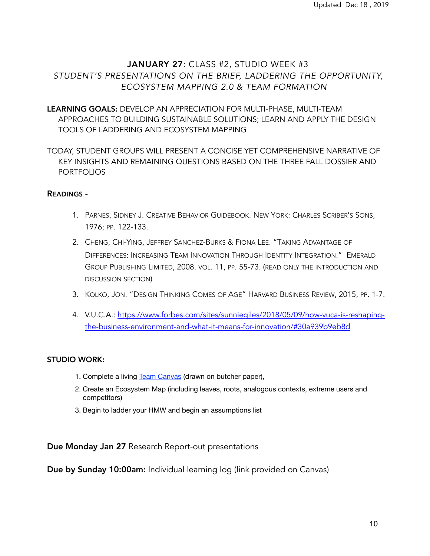# JANUARY 27: CLASS #2, STUDIO WEEK #3 *STUDENT'S PRESENTATIONS ON THE BRIEF, LADDERING THE OPPORTUNITY, ECOSYSTEM MAPPING 2.0 & TEAM FORMATION*

LEARNING GOALS: DEVELOP AN APPRECIATION FOR MULTI-PHASE, MULTI-TEAM APPROACHES TO BUILDING SUSTAINABLE SOLUTIONS; LEARN AND APPLY THE DESIGN TOOLS OF LADDERING AND ECOSYSTEM MAPPING

TODAY, STUDENT GROUPS WILL PRESENT A CONCISE YET COMPREHENSIVE NARRATIVE OF KEY INSIGHTS AND REMAINING QUESTIONS BASED ON THE THREE FALL DOSSIER AND **PORTFOLIOS** 

### READINGS -

- 1. PARNES, SIDNEY J. CREATIVE BEHAVIOR GUIDEBOOK. NEW YORK: CHARLES SCRIBER'S SONS, 1976; PP. 122-133.
- 2. CHENG, CHI-YING, JEFFREY SANCHEZ-BURKS & FIONA LEE. "TAKING ADVANTAGE OF DIFFERENCES: INCREASING TEAM INNOVATION THROUGH IDENTITY INTEGRATION." EMERALD GROUP PUBLISHING LIMITED, 2008. VOL. 11, PP. 55-73. (READ ONLY THE INTRODUCTION AND DISCUSSION SECTION)
- 3. KOLKO, JON. "DESIGN THINKING COMES OF AGE" HARVARD BUSINESS REVIEW, 2015, PP. 1-7.
- 4. V.U.C.A.: [https://www.forbes.com/sites/sunniegiles/2018/05/09/how-vuca-is-reshaping](https://www.forbes.com/sites/sunniegiles/2018/05/09/how-vuca-is-reshaping-the-business-environment-and-what-it-means-for-innovation/#30a939b9eb8d)[the-business-environment-and-what-it-means-for-innovation/#30a939b9eb8d](https://www.forbes.com/sites/sunniegiles/2018/05/09/how-vuca-is-reshaping-the-business-environment-and-what-it-means-for-innovation/#30a939b9eb8d)

### STUDIO WORK:

- 1. Complete a living [Team Canvas](https://drive.google.com/file/d/1UzRuRxboXAhT9NRvIKuNTJ3-t2gMtrWx/view) (drawn on butcher paper),
- 2. Create an Ecosystem Map (including leaves, roots, analogous contexts, extreme users and competitors)
- 3. Begin to ladder your HMW and begin an assumptions list

Due Monday Jan 27 Research Report-out presentations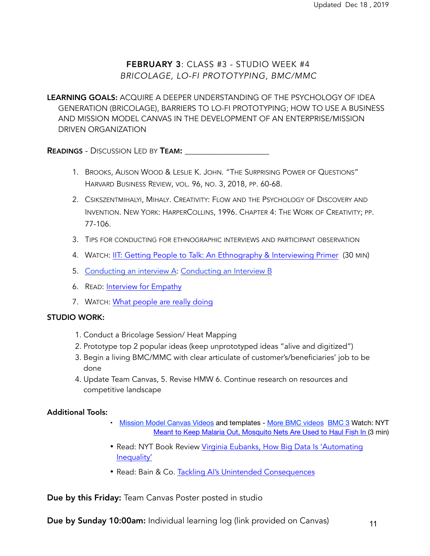# FEBRUARY 3: CLASS #3 - STUDIO WEEK #4 *BRICOLAGE, LO-FI PROTOTYPING, BMC/MMC*

LEARNING GOALS: ACQUIRE A DEEPER UNDERSTANDING OF THE PSYCHOLOGY OF IDEA GENERATION (BRICOLAGE), BARRIERS TO LO-FI PROTOTYPING; HOW TO USE A BUSINESS AND MISSION MODEL CANVAS IN THE DEVELOPMENT OF AN ENTERPRISE/MISSION DRIVEN ORGANIZATION

**READINGS** - DISCUSSION LED BY **TEAM:** 

- 1. BROOKS, ALISON WOOD & LESLIE K. JOHN. "THE SURPRISING POWER OF QUESTIONS" HARVARD BUSINESS REVIEW, VOL. 96, NO. 3, 2018, PP. 60-68.
- 2. CSIKSZENTMIHALYI, MIHALY. CREATIVITY: FLOW AND THE PSYCHOLOGY OF DISCOVERY AND INVENTION. NEW YORK: HARPERCOLLINS, 1996. CHAPTER 4: THE WORK OF CREATIVITY; PP. 77-106.
- 3. TIPS FOR CONDUCTING FOR ETHNOGRAPHIC INTERVIEWS AND PARTICIPANT OBSERVATION
- 4. WATCH: [IIT: Getting People to Talk: An Ethnography & Interviewing Primer](https://vimeo.com/1269848) (30 MIN)
- 5. [Conducting an interview A](https://www.interaction-design.org/literature/article/how-to-conduct-user-interviews): [Conducting an Interview B](https://medium.springboard.com/the-art-of-the-user-interview-cf40d1ca62e8)
- 6. READ: [Interview for Empathy](https://drive.google.com/file/d/19Zz5smAh9e_q5Y6KI7YsRQgSOnfg8SP6/view?usp=sharing)
- 7. WATCH: [What people are really doing](https://vimeo.com/7099570)

#### STUDIO WORK:

- 1. Conduct a Bricolage Session/ Heat Mapping
- 2. Prototype top 2 popular ideas (keep unprototyped ideas "alive and digitized")
- 3. Begin a living BMC/MMC with clear articulate of customer's/beneficiaries' job to be done
- 4. Update Team Canvas, 5. Revise HMW 6. Continue research on resources and competitive landscape

### Additional Tools:

- [Mission Model Canvas Videos](https://steveblank.com/2019/09/24/mission-model-canvas-the-videos/) and templates [More BMC videos](https://www.youtube.com/watch?v=n_BHiDmINB8) [BMC 3](https://www.huffpost.com/entry/the-mission-model-canvas_b_9298440) Watch: NYT [Meant to Keep Malaria Out, Mosquito Nets Are Used to Haul Fish In](https://www.nytimes.com/2015/01/25/world/africa/mosquito-nets-for-malaria-spawn-new-epidemic-overfishing.html) (3 min)
- Read: NYT Book Review [Virginia Eubanks, How Big Data Is 'Automating](https://www.nytimes.com/2018/05/04/books/review/automating-inequality-virginia-eubanks.html)  [Inequality'](https://www.nytimes.com/2018/05/04/books/review/automating-inequality-virginia-eubanks.html)
- Read: Bain & Co. [Tackling AI's Unintended Consequences](https://www.bain.com/insights/tackling-ais-unintended-consequences/)

Due by this Friday: Team Canvas Poster posted in studio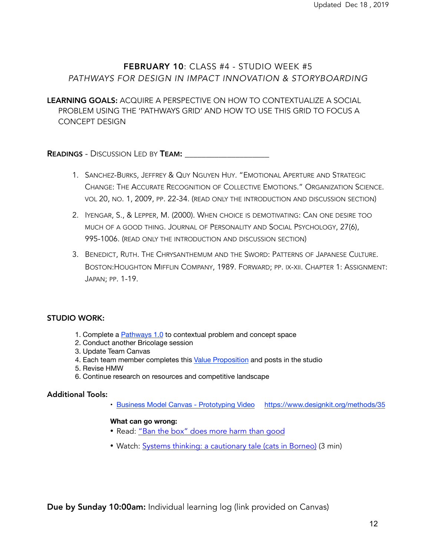# FEBRUARY 10: CLASS #4 - STUDIO WEEK #5 *PATHWAYS FOR DESIGN IN IMPACT INNOVATION & STORYBOARDING*

LEARNING GOALS: ACQUIRE A PERSPECTIVE ON HOW TO CONTEXTUALIZE A SOCIAL PROBLEM USING THE 'PATHWAYS GRID' AND HOW TO USE THIS GRID TO FOCUS A CONCEPT DESIGN

**READINGS** - DISCUSSION LED BY **TEAM:** 

- 1. SANCHEZ-BURKS, JEFFREY & QUY NGUYEN HUY. "EMOTIONAL APERTURE AND STRATEGIC CHANGE: THE ACCURATE RECOGNITION OF COLLECTIVE EMOTIONS." ORGANIZATION SCIENCE. VOL 20, NO. 1, 2009, PP. 22-34. (READ ONLY THE INTRODUCTION AND DISCUSSION SECTION)
- 2. IYENGAR, S., & LEPPER, M. (2000). WHEN CHOICE IS DEMOTIVATING: CAN ONE DESIRE TOO MUCH OF A GOOD THING. JOURNAL OF PERSONALITY AND SOCIAL PSYCHOLOGY, 27(6), 995-1006. (READ ONLY THE INTRODUCTION AND DISCUSSION SECTION)
- 3. BENEDICT, RUTH. THE CHRYSANTHEMUM AND THE SWORD: PATTERNS OF JAPANESE CULTURE. BOSTON:HOUGHTON MIFFLIN COMPANY, 1989. FORWARD; PP. IX-XII. CHAPTER 1: ASSIGNMENT: JAPAN; PP. 1-19.

### STUDIO WORK:

- 1. Complete a [Pathways 1.0](https://drive.google.com/file/d/1RIsrCBrwbQscdmyeAIiWam8JzL6hqT39/view) to contextual problem and concept space
- 2. Conduct another Bricolage session
- 3. Update Team Canvas
- 4. Each team member completes this [Value Proposition](http://Value%20Proposition%20Template:%20https://drive.google.com/file/d/1FLkXA0hMF_eWn-xH-ghzTOOkmnZPrSH-/view) and posts in the studio
- 5. Revise HMW
- 6. Continue research on resources and competitive landscape

#### Additional Tools:

• [Business Model Canvas - Prototyping Video](https://www.youtube.com/watch?v=evLqxe-Eua8) <https://www.designkit.org/methods/35>

#### **What can go wrong:**

- Read: ["Ban the box" does more harm than good](https://www.brookings.edu/opinions/ban-the-box-does-more-harm-than-good/)
- Watch: [Systems thinking: a cautionary tale \(cats in Borneo\)](https://www.youtube.com/watch?v=17BP9n6g1F0) (3 min)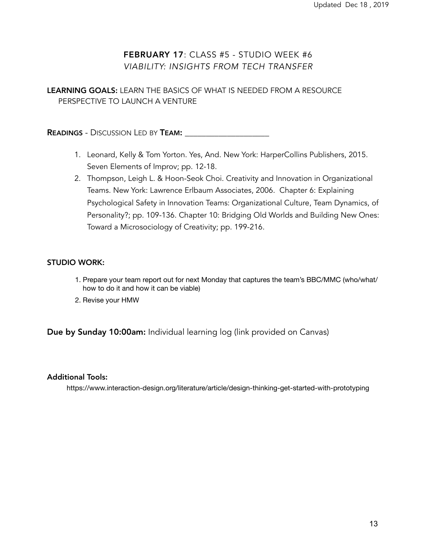# FEBRUARY 17: CLASS #5 - STUDIO WEEK #6 *VIABILITY: INSIGHTS FROM TECH TRANSFER*

LEARNING GOALS: LEARN THE BASICS OF WHAT IS NEEDED FROM A RESOURCE PERSPECTIVE TO LAUNCH A VENTURE

READINGS - DISCUSSION LED BY TEAM: \_\_\_\_\_\_\_\_\_\_\_\_\_\_\_\_\_\_\_\_

- 1. Leonard, Kelly & Tom Yorton. Yes, And. New York: HarperCollins Publishers, 2015. Seven Elements of Improv; pp. 12-18.
- 2. Thompson, Leigh L. & Hoon-Seok Choi. Creativity and Innovation in Organizational Teams. New York: Lawrence Erlbaum Associates, 2006. Chapter 6: Explaining Psychological Safety in Innovation Teams: Organizational Culture, Team Dynamics, of Personality?; pp. 109-136. Chapter 10: Bridging Old Worlds and Building New Ones: Toward a Microsociology of Creativity; pp. 199-216.

### STUDIO WORK:

- 1. Prepare your team report out for next Monday that captures the team's BBC/MMC (who/what/ how to do it and how it can be viable)
- 2. Revise your HMW

Due by Sunday 10:00am: Individual learning log (link provided on Canvas)

#### Additional Tools:

https://www.interaction-design.org/literature/article/design-thinking-get-started-with-prototyping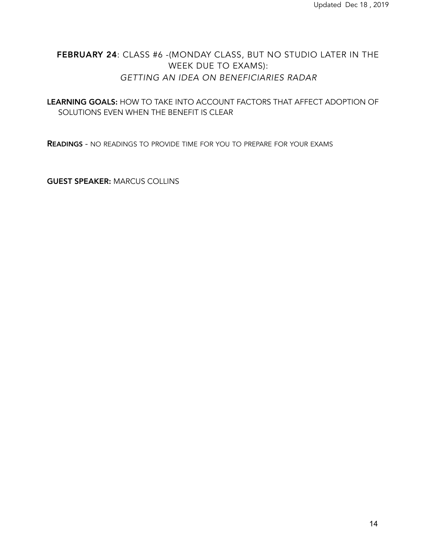# FEBRUARY 24: CLASS #6 -(MONDAY CLASS, BUT NO STUDIO LATER IN THE WEEK DUE TO EXAMS): *GETTING AN IDEA ON BENEFICIARIES RADAR*

LEARNING GOALS: HOW TO TAKE INTO ACCOUNT FACTORS THAT AFFECT ADOPTION OF SOLUTIONS EVEN WHEN THE BENEFIT IS CLEAR

READINGS - NO READINGS TO PROVIDE TIME FOR YOU TO PREPARE FOR YOUR EXAMS

GUEST SPEAKER: MARCUS COLLINS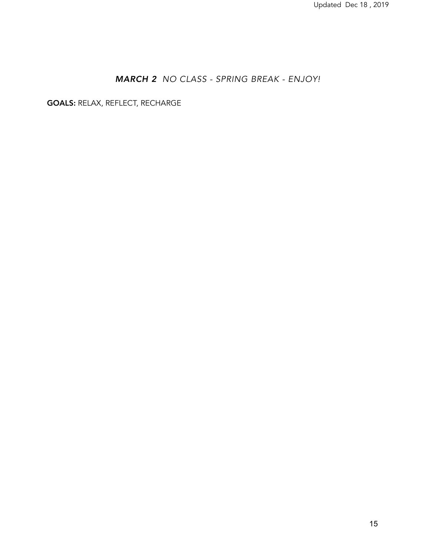# *MARCH 2 NO CLASS - SPRING BREAK - ENJOY!*

GOALS: RELAX, REFLECT, RECHARGE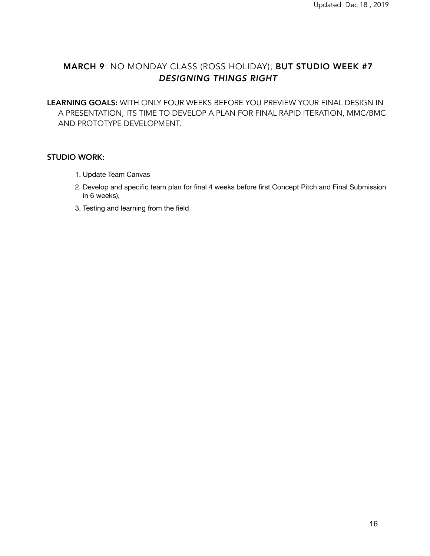# MARCH 9: NO MONDAY CLASS (ROSS HOLIDAY), BUT STUDIO WEEK #7 *DESIGNING THINGS RIGHT*

LEARNING GOALS: WITH ONLY FOUR WEEKS BEFORE YOU PREVIEW YOUR FINAL DESIGN IN A PRESENTATION, ITS TIME TO DEVELOP A PLAN FOR FINAL RAPID ITERATION, MMC/BMC AND PROTOTYPE DEVELOPMENT.

### STUDIO WORK:

- 1. Update Team Canvas
- 2. Develop and specific team plan for final 4 weeks before first Concept Pitch and Final Submission in 6 weeks),
- 3. Testing and learning from the field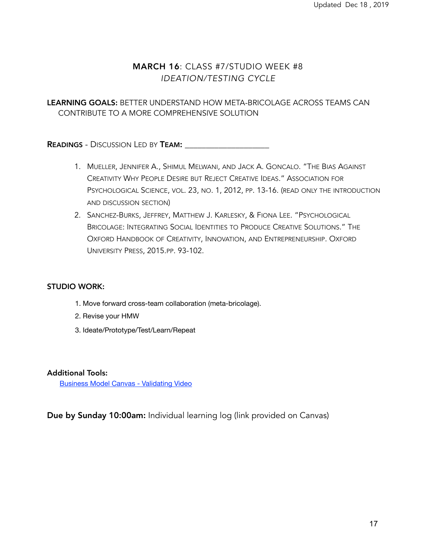# MARCH 16: CLASS #7/STUDIO WEEK #8 *IDEATION/TESTING CYCLE*

## LEARNING GOALS: BETTER UNDERSTAND HOW META-BRICOLAGE ACROSS TEAMS CAN CONTRIBUTE TO A MORE COMPREHENSIVE SOLUTION

**READINGS** - DISCUSSION LED BY **TEAM:** 

- 1. MUELLER, JENNIFER A., SHIMUL MELWANI, AND JACK A. GONCALO. "THE BIAS AGAINST CREATIVITY WHY PEOPLE DESIRE BUT REJECT CREATIVE IDEAS." ASSOCIATION FOR PSYCHOLOGICAL SCIENCE, VOL. 23, NO. 1, 2012, PP. 13-16. (READ ONLY THE INTRODUCTION AND DISCUSSION SECTION)
- 2. SANCHEZ-BURKS, JEFFREY, MATTHEW J. KARLESKY, & FIONA LEE. "PSYCHOLOGICAL BRICOLAGE: INTEGRATING SOCIAL IDENTITIES TO PRODUCE CREATIVE SOLUTIONS." THE OXFORD HANDBOOK OF CREATIVITY, INNOVATION, AND ENTREPRENEURSHIP. OXFORD UNIVERSITY PRESS, 2015.PP. 93-102.

### STUDIO WORK:

- 1. Move forward cross-team collaboration (meta-bricolage).
- 2. Revise your HMW
- 3. Ideate/Prototype/Test/Learn/Repeat

#### Additional Tools:

[Business Model Canvas - Validating Video](https://www.youtube.com/watch?v=mxTYPlhauk8)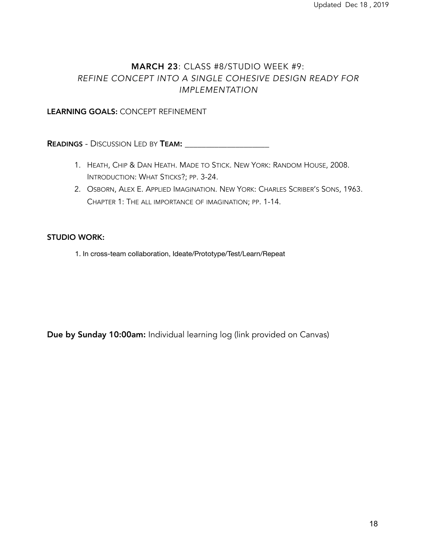# MARCH 23: CLASS #8/STUDIO WEEK #9: *REFINE CONCEPT INTO A SINGLE COHESIVE DESIGN READY FOR IMPLEMENTATION*

### LEARNING GOALS: CONCEPT REFINEMENT

**READINGS - DISCUSSION LED BY TEAM: \_\_\_\_\_\_\_\_\_\_\_\_\_\_\_\_\_\_\_\_\_\_\_\_\_\_** 

- 1. HEATH, CHIP & DAN HEATH. MADE TO STICK. NEW YORK: RANDOM HOUSE, 2008. INTRODUCTION: WHAT STICKS?; PP. 3-24.
- 2. OSBORN, ALEX E. APPLIED IMAGINATION. NEW YORK: CHARLES SCRIBER'S SONS, 1963. CHAPTER 1: THE ALL IMPORTANCE OF IMAGINATION; PP. 1-14.

### STUDIO WORK:

1. In cross-team collaboration, Ideate/Prototype/Test/Learn/Repeat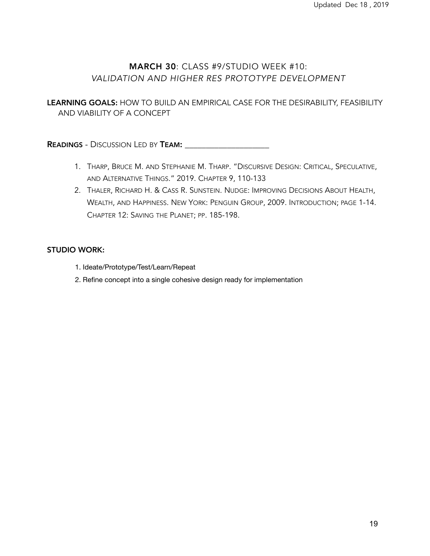# MARCH 30: CLASS #9/STUDIO WEEK #10: *VALIDATION AND HIGHER RES PROTOTYPE DEVELOPMENT*

LEARNING GOALS: HOW TO BUILD AN EMPIRICAL CASE FOR THE DESIRABILITY, FEASIBILITY AND VIABILITY OF A CONCEPT

READINGS - DISCUSSION LED BY TEAM: \_\_\_\_\_\_\_\_\_\_\_\_\_\_\_\_\_\_\_\_

- 1. THARP, BRUCE M. AND STEPHANIE M. THARP. "DISCURSIVE DESIGN: CRITICAL, SPECULATIVE, AND ALTERNATIVE THINGS." 2019. CHAPTER 9, 110-133
- 2. THALER, RICHARD H. & CASS R. SUNSTEIN. NUDGE: IMPROVING DECISIONS ABOUT HEALTH, WEALTH, AND HAPPINESS. NEW YORK: PENGUIN GROUP, 2009. INTRODUCTION; PAGE 1-14. CHAPTER 12: SAVING THE PLANET; PP. 185-198.

### STUDIO WORK:

- 1. Ideate/Prototype/Test/Learn/Repeat
- 2. Refine concept into a single cohesive design ready for implementation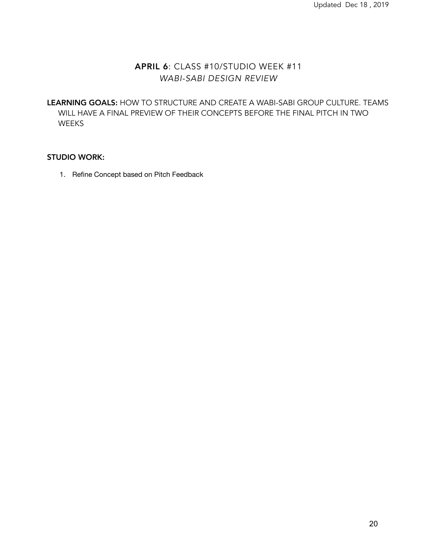# APRIL 6: CLASS #10/STUDIO WEEK #11 *WABI-SABI DESIGN REVIEW*

LEARNING GOALS: HOW TO STRUCTURE AND CREATE A WABI-SABI GROUP CULTURE. TEAMS WILL HAVE A FINAL PREVIEW OF THEIR CONCEPTS BEFORE THE FINAL PITCH IN TWO WEEKS

### STUDIO WORK:

1. Refine Concept based on Pitch Feedback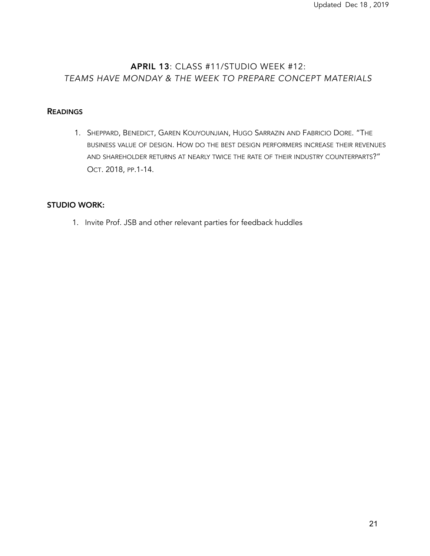# APRIL 13: CLASS #11/STUDIO WEEK #12: *TEAMS HAVE MONDAY & THE WEEK TO PREPARE CONCEPT MATERIALS*

### **READINGS**

1. SHEPPARD, BENEDICT, GAREN KOUYOUNJIAN, HUGO SARRAZIN AND FABRICIO DORE. "THE BUSINESS VALUE OF DESIGN. HOW DO THE BEST DESIGN PERFORMERS INCREASE THEIR REVENUES AND SHAREHOLDER RETURNS AT NEARLY TWICE THE RATE OF THEIR INDUSTRY COUNTERPARTS?" OCT. 2018, PP.1-14.

### STUDIO WORK:

1. Invite Prof. JSB and other relevant parties for feedback huddles